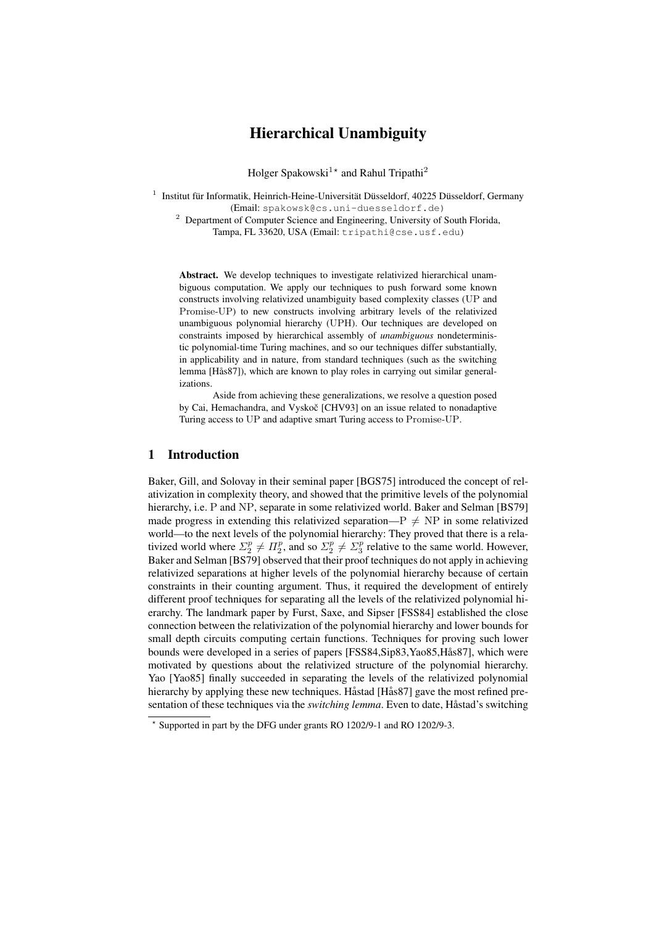# Hierarchical Unambiguity

Holger Spakowski<sup>1\*</sup> and Rahul Tripathi<sup>2</sup>

<sup>1</sup> Institut für Informatik, Heinrich-Heine-Universität Düsseldorf, 40225 Düsseldorf, Germany (Email: spakowsk@cs.uni-duesseldorf.de)

<sup>2</sup> Department of Computer Science and Engineering, University of South Florida, Tampa, FL 33620, USA (Email: tripathi@cse.usf.edu)

Abstract. We develop techniques to investigate relativized hierarchical unambiguous computation. We apply our techniques to push forward some known constructs involving relativized unambiguity based complexity classes (UP and Promise-UP) to new constructs involving arbitrary levels of the relativized unambiguous polynomial hierarchy (UPH). Our techniques are developed on constraints imposed by hierarchical assembly of *unambiguous* nondeterministic polynomial-time Turing machines, and so our techniques differ substantially, in applicability and in nature, from standard techniques (such as the switching lemma [Hås87]), which are known to play roles in carrying out similar generalizations.

Aside from achieving these generalizations, we resolve a question posed by Cai, Hemachandra, and Vyskoč [CHV93] on an issue related to nonadaptive Turing access to UP and adaptive smart Turing access to Promise-UP.

### 1 Introduction

Baker, Gill, and Solovay in their seminal paper [BGS75] introduced the concept of relativization in complexity theory, and showed that the primitive levels of the polynomial hierarchy, i.e. P and NP, separate in some relativized world. Baker and Selman [BS79] made progress in extending this relativized separation— $P \neq NP$  in some relativized world—to the next levels of the polynomial hierarchy: They proved that there is a relativized world where  $\Sigma_2^p \neq \Pi_2^p$ , and so  $\Sigma_2^p \neq \Sigma_3^p$  relative to the same world. However, Baker and Selman [BS79] observed that their proof techniques do not apply in achieving relativized separations at higher levels of the polynomial hierarchy because of certain constraints in their counting argument. Thus, it required the development of entirely different proof techniques for separating all the levels of the relativized polynomial hierarchy. The landmark paper by Furst, Saxe, and Sipser [FSS84] established the close connection between the relativization of the polynomial hierarchy and lower bounds for small depth circuits computing certain functions. Techniques for proving such lower bounds were developed in a series of papers [FSS84,Sip83,Yao85,Hås87], which were motivated by questions about the relativized structure of the polynomial hierarchy. Yao [Yao85] finally succeeded in separating the levels of the relativized polynomial hierarchy by applying these new techniques. Håstad [Hås87] gave the most refined presentation of these techniques via the *switching lemma*. Even to date, Håstad's switching

<sup>?</sup> Supported in part by the DFG under grants RO 1202/9-1 and RO 1202/9-3.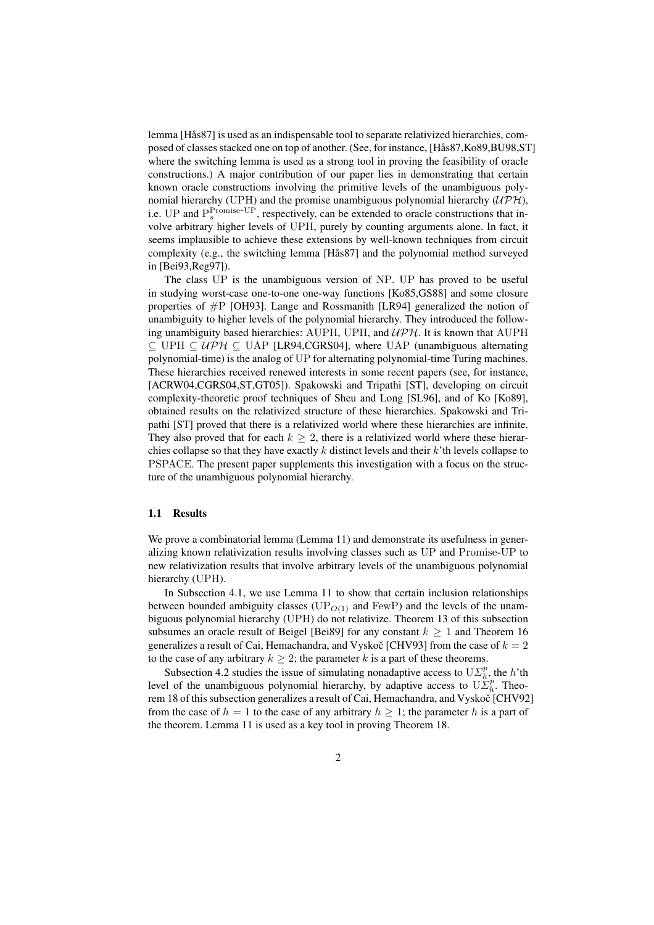lemma [Hås87] is used as an indispensable tool to separate relativized hierarchies, composed of classes stacked one on top of another. (See, for instance, [Has87,Ko89,BU98,ST] ˚ where the switching lemma is used as a strong tool in proving the feasibility of oracle constructions.) A major contribution of our paper lies in demonstrating that certain known oracle constructions involving the primitive levels of the unambiguous polynomial hierarchy (UPH) and the promise unambiguous polynomial hierarchy  $(UPH)$ , i.e. UP and  $P_s^{\text{Promise-UP}}$ , respectively, can be extended to oracle constructions that involve arbitrary higher levels of UPH, purely by counting arguments alone. In fact, it seems implausible to achieve these extensions by well-known techniques from circuit complexity (e.g., the switching lemma [Hås87] and the polynomial method surveyed in [Bei93,Reg97]).

The class UP is the unambiguous version of NP. UP has proved to be useful in studying worst-case one-to-one one-way functions [Ko85,GS88] and some closure properties of #P [OH93]. Lange and Rossmanith [LR94] generalized the notion of unambiguity to higher levels of the polynomial hierarchy. They introduced the following unambiguity based hierarchies: AUPH, UPH, and  $\mathcal{UPH}$ . It is known that AUPH  $\subseteq$  UPH  $\subseteq$  UPH  $\subseteq$  UAP [LR94,CGRS04], where UAP (unambiguous alternating polynomial-time) is the analog of UP for alternating polynomial-time Turing machines. These hierarchies received renewed interests in some recent papers (see, for instance, [ACRW04,CGRS04,ST,GT05]). Spakowski and Tripathi [ST], developing on circuit complexity-theoretic proof techniques of Sheu and Long [SL96], and of Ko [Ko89], obtained results on the relativized structure of these hierarchies. Spakowski and Tripathi [ST] proved that there is a relativized world where these hierarchies are infinite. They also proved that for each  $k \geq 2$ , there is a relativized world where these hierarchies collapse so that they have exactly  $k$  distinct levels and their  $k$ 'th levels collapse to PSPACE. The present paper supplements this investigation with a focus on the structure of the unambiguous polynomial hierarchy.

#### 1.1 Results

We prove a combinatorial lemma (Lemma 11) and demonstrate its usefulness in generalizing known relativization results involving classes such as UP and Promise-UP to new relativization results that involve arbitrary levels of the unambiguous polynomial hierarchy (UPH).

In Subsection 4.1, we use Lemma 11 to show that certain inclusion relationships between bounded ambiguity classes ( $UP<sub>O(1)</sub>$  and FewP) and the levels of the unambiguous polynomial hierarchy (UPH) do not relativize. Theorem 13 of this subsection subsumes an oracle result of Beigel [Bei89] for any constant  $k > 1$  and Theorem 16 generalizes a result of Cai, Hemachandra, and Vyskoč [CHV93] from the case of  $k = 2$ to the case of any arbitrary  $k \geq 2$ ; the parameter k is a part of these theorems.

Subsection 4.2 studies the issue of simulating nonadaptive access to  $U\mathcal{L}_h^p$ , the h'th level of the unambiguous polynomial hierarchy, by adaptive access to  $\mathbf{U}\tilde{\mathbf{\Sigma}}_h^p$ . Theorem 18 of this subsection generalizes a result of Cai, Hemachandra, and Vyskoč [CHV92] from the case of  $h = 1$  to the case of any arbitrary  $h \ge 1$ ; the parameter h is a part of the theorem. Lemma 11 is used as a key tool in proving Theorem 18.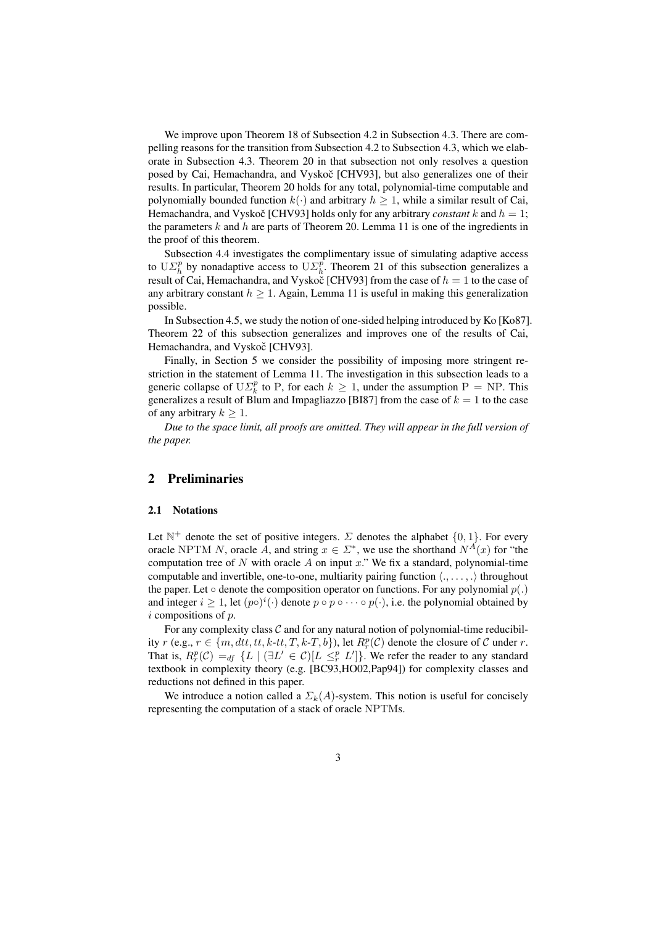We improve upon Theorem 18 of Subsection 4.2 in Subsection 4.3. There are compelling reasons for the transition from Subsection 4.2 to Subsection 4.3, which we elaborate in Subsection 4.3. Theorem 20 in that subsection not only resolves a question posed by Cai, Hemachandra, and Vyskoč [CHV93], but also generalizes one of their results. In particular, Theorem 20 holds for any total, polynomial-time computable and polynomially bounded function  $k(\cdot)$  and arbitrary  $h > 1$ , while a similar result of Cai, Hemachandra, and Vyskoč [CHV93] holds only for any arbitrary *constant*  $k$  and  $h = 1$ ; the parameters k and h are parts of Theorem 20. Lemma 11 is one of the ingredients in the proof of this theorem.

Subsection 4.4 investigates the complimentary issue of simulating adaptive access to  $\mathrm{U}\Sigma_h^p$  by nonadaptive access to  $\mathrm{U}\Sigma_h^p$ . Theorem 21 of this subsection generalizes a result of Cai, Hemachandra, and Vyskoč [CHV93] from the case of  $h = 1$  to the case of any arbitrary constant  $h \geq 1$ . Again, Lemma 11 is useful in making this generalization possible.

In Subsection 4.5, we study the notion of one-sided helping introduced by Ko [Ko87]. Theorem 22 of this subsection generalizes and improves one of the results of Cai, Hemachandra, and Vyskoč [CHV93].

Finally, in Section 5 we consider the possibility of imposing more stringent restriction in the statement of Lemma 11. The investigation in this subsection leads to a generic collapse of  $U\mathcal{L}_k^p$  to P, for each  $k \geq 1$ , under the assumption P = NP. This generalizes a result of Blum and Impagliazzo [BI87] from the case of  $k = 1$  to the case of any arbitrary  $k \geq 1$ .

*Due to the space limit, all proofs are omitted. They will appear in the full version of the paper.*

## 2 Preliminaries

#### 2.1 Notations

Let  $\mathbb{N}^+$  denote the set of positive integers.  $\Sigma$  denotes the alphabet  $\{0, 1\}$ . For every oracle NPTM N, oracle A, and string  $x \in \Sigma^*$ , we use the shorthand  $N^A(x)$  for "the computation tree of N with oracle A on input  $x$ ." We fix a standard, polynomial-time computable and invertible, one-to-one, multiarity pairing function  $\langle, \ldots, \cdot \rangle$  throughout the paper. Let  $\circ$  denote the composition operator on functions. For any polynomial  $p(.)$ and integer  $i \geq 1$ , let  $(p \circ)^{i}(\cdot)$  denote  $p \circ p \circ \cdots \circ p(\cdot)$ , i.e. the polynomial obtained by  $i$  compositions of  $p$ .

For any complexity class  $C$  and for any natural notion of polynomial-time reducibility  $r$  (e.g.,  $r \in \{m, dtt, tt, k\text{-}tt, T, k\text{-}T, b\}$ ), let  $R_r^p(\mathcal{C})$  denote the closure of  $\mathcal C$  under  $r$ . That is,  $R_r^p(\mathcal{C}) =_{df} \{L \mid (\exists L' \in \mathcal{C})[L \leq_r^p L']\}$ . We refer the reader to any standard textbook in complexity theory (e.g. [BC93,HO02,Pap94]) for complexity classes and reductions not defined in this paper.

We introduce a notion called a  $\Sigma_k(A)$ -system. This notion is useful for concisely representing the computation of a stack of oracle NPTMs.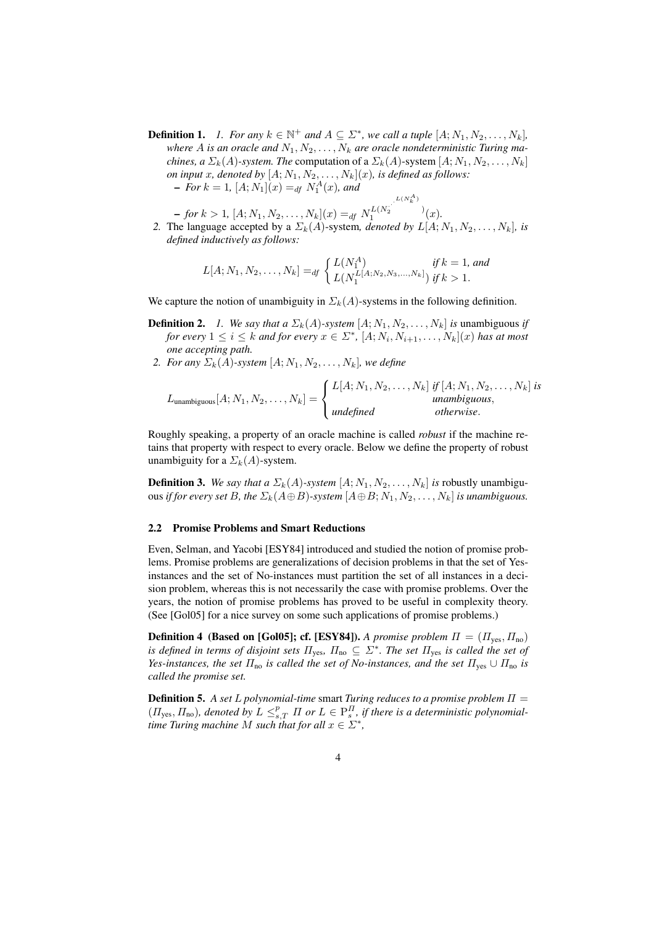**Definition 1.** *1. For any*  $k \in \mathbb{N}^+$  *and*  $A \subseteq \Sigma^*$ *, we call a tuple*  $[A; N_1, N_2, \ldots, N_k]$ *,* where A is an oracle and  $N_1, N_2, \ldots, N_k$  are oracle nondeterministic Turing ma*chines, a*  $\Sigma_k(A)$ -system. The computation of a  $\Sigma_k(A)$ -system  $[A; N_1, N_2, \ldots, N_k]$ *on input x, denoted by*  $[A; N_1, N_2, \ldots, N_k](x)$ *, is defined as follows:*  $-$  *For*  $k = 1$ ,  $[A; N_1](x) =_{df} N_1^A(x)$ , and

 $-$  *for*  $k > 1$ ,  $[A; N_1, N_2, \ldots, N_k](x) =_{df} N_1^{L(N_2)}$  $\frac{1}{2}$  )  $\frac{1}{1}$   $(x)$ .

*2.* The language accepted by a  $\Sigma_k(A)$ -system, *denoted by*  $L[A; N_1, N_2, \ldots, N_k]$ *, is defined inductively as follows:*

$$
L[A; N_1, N_2, \dots, N_k] =_{df} \begin{cases} L(N_1^A) & \text{if } k = 1, \text{ and} \\ L(N_1^{L[A; N_2, N_3, \dots, N_k]}) & \text{if } k > 1. \end{cases}
$$

We capture the notion of unambiguity in  $\Sigma_k(A)$ -systems in the following definition.

- **Definition 2.** *1. We say that a*  $\Sigma_k(A)$ -system  $[A; N_1, N_2, \ldots, N_k]$  *is* unambiguous *if for every*  $1 \leq i \leq k$  *and for every*  $x \in \Sigma^*$ ,  $[A; N_i, N_{i+1}, \ldots, N_k](x)$  *has at most one accepting path.*
- *2. For any*  $\Sigma_k(A)$ -system  $[A; N_1, N_2, \ldots, N_k]$ , we define

$$
L_{\text{unambiguous}}[A; N_1, N_2, \dots, N_k] = \begin{cases} L[A; N_1, N_2, \dots, N_k] & \text{if } [A; N_1, N_2, \dots, N_k] \text{ is} \\ & \text{unambiguous,} \\ \text{undefined} & \text{otherwise.} \end{cases}
$$

Roughly speaking, a property of an oracle machine is called *robust* if the machine retains that property with respect to every oracle. Below we define the property of robust unambiguity for a  $\Sigma_k(A)$ -system.

**Definition 3.** We say that a  $\Sigma_k(A)$ -system  $[A; N_1, N_2, \ldots, N_k]$  is robustly unambiguous *if for every set* B, the  $\Sigma_k(A \oplus B)$ -system  $[A \oplus B; N_1, N_2, \ldots, N_k]$  *is unambiguous.* 

### 2.2 Promise Problems and Smart Reductions

Even, Selman, and Yacobi [ESY84] introduced and studied the notion of promise problems. Promise problems are generalizations of decision problems in that the set of Yesinstances and the set of No-instances must partition the set of all instances in a decision problem, whereas this is not necessarily the case with promise problems. Over the years, the notion of promise problems has proved to be useful in complexity theory. (See [Gol05] for a nice survey on some such applications of promise problems.)

**Definition 4 (Based on [Gol05]; cf. [ESY84]).** *A promise problem*  $\Pi = (\Pi_{\text{yes}}, \Pi_{\text{no}})$ *is defined in terms of disjoint sets*  $\Pi_{\text{yes}}$ ,  $\Pi_{\text{no}} \subseteq \Sigma^*$ . The set  $\Pi_{\text{yes}}$  *is called the set of Yes-instances, the set*  $\Pi_{\text{no}}$  *is called the set of No-instances, and the set*  $\Pi_{\text{yes}} \cup \Pi_{\text{no}}$  *is called the promise set.*

Definition 5. *A set* L *polynomial-time* smart *Turing reduces to a promise problem* Π =  $(H_{\text{yes}}, H_{\text{no}})$ , denoted by  $L \leq_{s,T}^p \Pi$  or  $L \in \text{P}_s^{\Pi}$ , if there is a deterministic polynomial*time Turing machine* M such that for all  $x \in \Sigma^*$ ,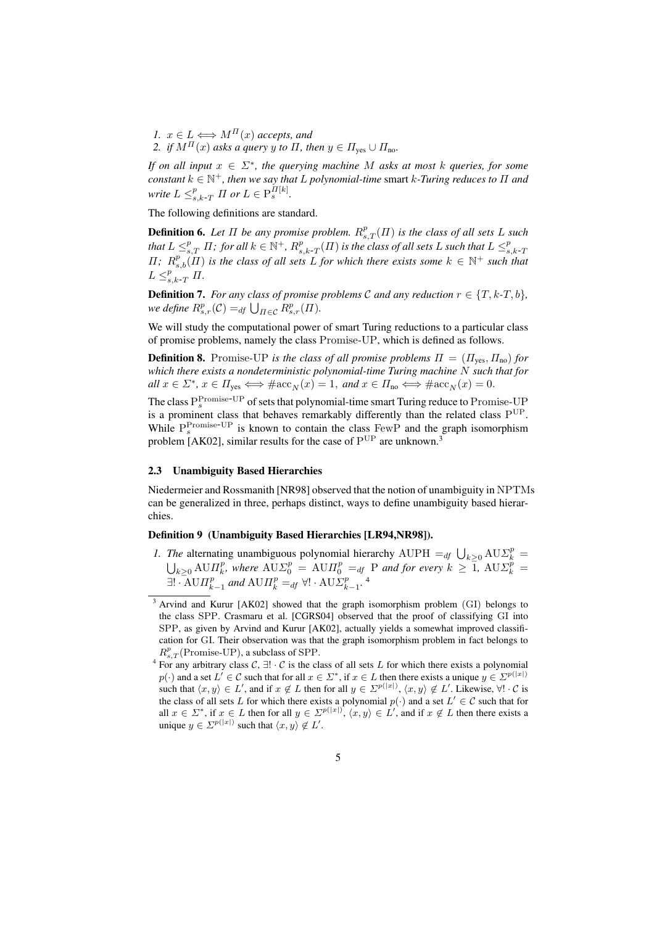*1.*  $x \in L \Longleftrightarrow M^{\Pi}(x)$  accepts, and *2. if*  $M^{\Pi}(x)$  *asks a query y to*  $\Pi$ *, then*  $y \in \Pi_{\text{yes}} \cup \Pi_{\text{no}}$ *.* 

*If on all input* x ∈ Σ<sup>∗</sup> *, the querying machine* M *asks at most* k *queries, for some*  $\alpha$  *constant*  $k \in \mathbb{N}^+$ , then we say that L polynomial-time smart k-Turing reduces to  $\Pi$  and *write*  $L \leq_{s,k-T}^p \Pi$  *or*  $L \in \mathrm{P}_{s}^{\Pi[k]}$ .

The following definitions are standard.

**Definition 6.** Let  $\Pi$  be any promise problem.  $R_{s,T}^p(\Pi)$  is the class of all sets L such that  $L \leq_{s,T}^p \Pi$ ; for all  $k \in \mathbb{N}^+$ ,  $R_{s,k-T}^p(\Pi)$  is the class of all sets  $L$  such that  $L \leq_{s,k-T}^p L$  $\Pi$ ;  $R_{s,b}^p(\Pi)$  *is the class of all sets* L *for which there exists some*  $k \in \mathbb{N}^+$  *such that*  $L \leq_{s,k-T}^p \Pi$ .

**Definition 7.** *For any class of promise problems*  $C$  *and any reduction*  $r \in \{T, k-T, b\}$ *,* **Demition** *i*. For any class of promise we define  $R_{s,r}^p(\mathcal{C}) =_{df} \bigcup_{\Pi \in \mathcal{C}} R_{s,r}^p(\Pi)$ .

We will study the computational power of smart Turing reductions to a particular class of promise problems, namely the class Promise-UP, which is defined as follows.

**Definition 8.** Promise-UP *is the class of all promise problems*  $\Pi = (\Pi_{\text{ves}}, \Pi_{\text{no}})$  *for which there exists a nondeterministic polynomial-time Turing machine* N *such that for*  $all\ x \in \Sigma^*,\ x \in \Pi_{\text{yes}} \Longleftrightarrow \#\text{acc}_N(x) = 1, \ and\ x \in \Pi_{\text{no}} \Longleftrightarrow \#\text{acc}_N(x) = 0.$ 

The class  $P_s^{\text{Promise-UP}}$  of sets that polynomial-time smart Turing reduce to Promise-UP is a prominent class that behaves remarkably differently than the related class  $P^{UP}$ . While  $P_s^{\text{Promise-UP}}$  is known to contain the class FewP and the graph isomorphism problem [AK02], similar results for the case of  $P^{UP}$  are unknown.<sup>3</sup>

### 2.3 Unambiguity Based Hierarchies

Niedermeier and Rossmanith [NR98] observed that the notion of unambiguity in NPTMs can be generalized in three, perhaps distinct, ways to define unambiguity based hierarchies.

### Definition 9 (Unambiguity Based Hierarchies [LR94,NR98]).

*1. The* alternating unambiguous polynomial hierarchy AUPH =  $df \cup_{k \geq 0} \text{AUE}_{k}^{p}$  =  $\lambda_{k\geq 0}$  AU $\Pi_k^p$ , where  $\text{A} \text{U} \Sigma_0^p = \text{A} \text{U} \Pi_0^p =_{df} P$  and for every  $k \geq 1$ ,  $\text{A} \text{U} \Sigma_k^p =$  $\exists! \cdot \text{A} \cup \Pi_{k-1}^p$  and  $\text{A} \cup \Pi_k^p =_{df} \forall! \cdot \text{A} \cup \Sigma_{k-1}^p$ .

<sup>&</sup>lt;sup>3</sup> Arvind and Kurur [AK02] showed that the graph isomorphism problem (GI) belongs to the class SPP. Crasmaru et al. [CGRS04] observed that the proof of classifying GI into SPP, as given by Arvind and Kurur [AK02], actually yields a somewhat improved classification for GI. Their observation was that the graph isomorphism problem in fact belongs to  $R_{s,T}^p$ (Promise-UP), a subclass of SPP.

<sup>&</sup>lt;sup>4</sup> For any arbitrary class  $\mathcal{C}, \exists ! \cdot \mathcal{C}$  is the class of all sets L for which there exists a polynomial  $p(\cdot)$  and a set  $L' \in \mathcal{C}$  such that for all  $x \in \Sigma^*$ , if  $x \in L$  then there exists a unique  $y \in \Sigma^{p(|x|)}$ such that  $\langle x, y \rangle \in L'$ , and if  $x \notin L$  then for all  $y \in \Sigma^{p(|x|)}, \langle x, y \rangle \notin L'$ . Likewise,  $\forall ! \cdot C$  is the class of all sets L for which there exists a polynomial  $p(\cdot)$  and a set  $L' \in \mathcal{C}$  such that for all  $x \in \Sigma^*$ , if  $x \in L$  then for all  $y \in \Sigma^{p(|x|)}, \langle x, y \rangle \in L'$ , and if  $x \notin L$  then there exists a unique  $y \in \mathcal{Z}^{p(|x|)}$  such that  $\langle x, y \rangle \notin L'$ .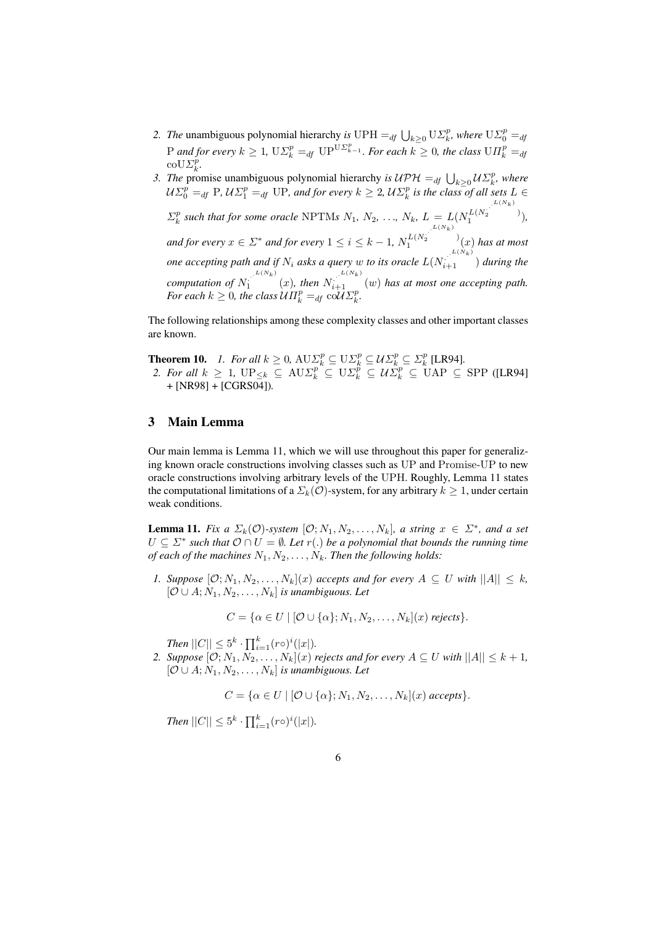- 2. *The* unambiguous polynomial hierarchy *is* UPH  $=$ <sub>df</sub>  $\bigcup_{k\geq 0} \mathrm{U} \Sigma_k^p$ , where  $\mathrm{U} \Sigma_0^p =$ <sub>df</sub> P and for every  $k \geq 1$ ,  $\mathrm{U}\Sigma_k^p =_{df} \mathrm{U}\mathrm{P}^{\mathrm{U}\Sigma_{k-1}^p}$ . For each  $k \geq 0$ , the class  $\mathrm{U}\Pi_k^p =_{df}$  $\mathrm{coU}\Sigma_{k}^{\rho}$ .
- 3. *The* promise unambiguous polynomial hierarchy *is*  $\mathcal{UPH} =_{df} \bigcup_{k \geq 0} \mathcal{U}\Sigma_k^p$ , where  $\mathcal{U}\Sigma_0^p =_{df} P$ ,  $\mathcal{U}\Sigma_1^p =_{df} UP$ , and for every  $k \geq 2$ ,  $\mathcal{U}\Sigma_k^p$  is the class of all sets  $L \in$ k  $\Sigma_k^p$  such that for some oracle NPTMs  $N_1, N_2, ..., N_k, L = L(N_1^{L(N_2)}$  $\frac{1}{2}$  )  $\frac{1}{1}$ <sup>(N<sub>2</sub>),</sup> and for every  $x \in \Sigma^*$  and for every  $1 \leq i \leq k-1$ ,  $N_1^{L(N_2)}$  $\frac{1}{2}$  )  $\int_1^{L(N_2)} (x)$  has at most *one accepting path and if*  $N_i$  *asks a query* w *to its oracle*  $L(N_{i+1}^{\ldots L(N_k)})$  *during the computation of*  $N_1$ <sup>L(Nk)</sup>  $\int_{1}^{L(N_k)} (x)$ , then  $N_{i+1}^{L(N_k)} (w)$  has at most one accepting path. *For each*  $k \geq 0$ *, the class*  $\mathcal{U}\Pi_k^p =_{df} \text{col}\mathcal{U}\Sigma_k^p$ *.*

The following relationships among these complexity classes and other important classes are known.

**Theorem 10.** *1. For all*  $k \geq 0$ ,  $A \cup \Sigma_k^p \subseteq U \Sigma_k^p \subseteq \mathcal{U} \Sigma_k^p \subseteq \Sigma_k^p$  [LR94].

2. *For all*  $k \geq 1$ ,  $\text{UP}_{\leq k} \subseteq \text{AUE}_{k}^{p} \subseteq \text{UL}_{k}^{p} \subseteq \mathcal{U}\Sigma_{k}^{p} \subseteq \mathcal{U}\Sigma_{k}^{p} \subseteq \text{UAP } \subseteq \text{SPP } ([\text{LR94}]$ + [NR98] + [CGRS04])*.*

### 3 Main Lemma

Our main lemma is Lemma 11, which we will use throughout this paper for generalizing known oracle constructions involving classes such as UP and Promise-UP to new oracle constructions involving arbitrary levels of the UPH. Roughly, Lemma 11 states the computational limitations of a  $\Sigma_k(\mathcal{O})$ -system, for any arbitrary  $k \geq 1$ , under certain weak conditions.

**Lemma 11.** *Fix a*  $\Sigma_k(\mathcal{O})$ -system  $[\mathcal{O}; N_1, N_2, \ldots, N_k]$ , a string  $x \in \Sigma^*$ , and a set  $U \subseteq \Sigma^*$  such that  $\mathcal{O} \cap U = \emptyset$ . Let  $r(.)$  be a polynomial that bounds the running time *of each of the machines*  $N_1, N_2, \ldots, N_k$ *. Then the following holds:* 

*1. Suppose*  $[0; N_1, N_2, \ldots, N_k](x)$  *accepts and for every*  $A \subseteq U$  *with*  $||A|| \leq k$ ,  $[O \cup A; N_1, N_2, \ldots, N_k]$  *is unambiguous. Let* 

$$
C = \{ \alpha \in U \mid [\mathcal{O} \cup \{\alpha\}; N_1, N_2, \dots, N_k](x) \text{ rejects} \}.
$$

*Then*  $||C|| \leq 5^k \cdot \prod_{i=1}^k (r \circ)^i (|x|)$ *.* 

*2. Suppose*  $[\mathcal{O}; N_1, N_2, \ldots, N_k](x)$  *rejects and for every*  $A \subseteq U$  *with*  $||A|| \leq k + 1$ *,*  $[O \cup A; N_1, N_2, \ldots, N_k]$  *is unambiguous. Let* 

 $C = \{\alpha \in U \mid [\mathcal{O} \cup \{\alpha\}; N_1, N_2, \dots, N_k](x) \text{ accepts}\}.$ 

*Then*  $||C|| \leq 5^k \cdot \prod_{i=1}^k (r \circ)^i (|x|)$ *.*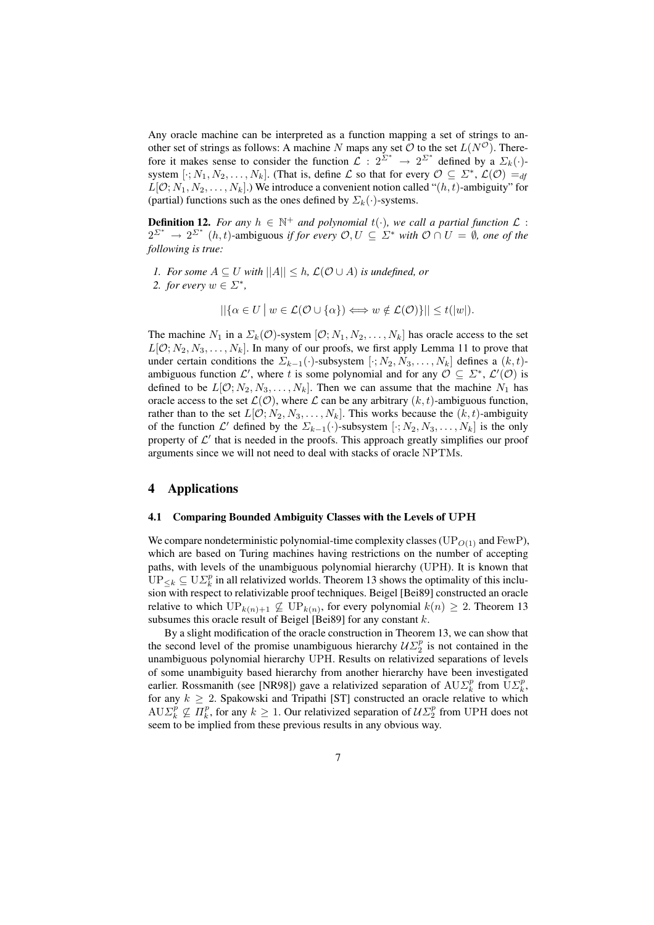Any oracle machine can be interpreted as a function mapping a set of strings to another set of strings as follows: A machine N maps any set O to the set  $L(N^{\circ})$ . Therefore it makes sense to consider the function  $\mathcal{L}: 2^{\Sigma^*} \to 2^{\Sigma^*}$  defined by a  $\Sigma_k(\cdot)$ system  $[\cdot; N_1, N_2, \ldots, N_k]$ . (That is, define  $\mathcal L$  so that for every  $\mathcal O \subseteq \mathcal L^*,$   $\mathcal L(\mathcal O) =_{df}$  $L[Q; N_1, N_2, \ldots, N_k]$ .) We introduce a convenient notion called " $(h, t)$ -ambiguity" for (partial) functions such as the ones defined by  $\Sigma_k(\cdot)$ -systems.

**Definition 12.** For any  $h \in \mathbb{N}^+$  and polynomial  $t(\cdot)$ , we call a partial function  $\mathcal{L}$ :  $2^{\Sigma^*} \to 2^{\Sigma^*}$  (h, t)-ambiguous *if for every*  $\mathcal{O}, U \subseteq \Sigma^*$  *with*  $\mathcal{O} \cap U = \emptyset$ *, one of the following is true:*

- *1. For some*  $A \subseteq U$  *with*  $||A|| \leq h$ ,  $\mathcal{L}(\mathcal{O} \cup A)$  *is undefined, or*
- 2. *for every*  $w \in \Sigma^*$ ,

$$
||\{\alpha \in U \mid w \in \mathcal{L}(\mathcal{O} \cup \{\alpha\}) \Longleftrightarrow w \notin \mathcal{L}(\mathcal{O})\}|| \leq t(|w|).
$$

The machine  $N_1$  in a  $\Sigma_k(\mathcal{O})$ -system  $[\mathcal{O}; N_1, N_2, \ldots, N_k]$  has oracle access to the set  $L[O; N_2, N_3, \ldots, N_k]$ . In many of our proofs, we first apply Lemma 11 to prove that under certain conditions the  $\Sigma_{k-1}(\cdot)$ -subsystem  $[\cdot; N_2, N_3, \ldots, N_k]$  defines a  $(k, t)$ ambiguous function  $\mathcal{L}'$ , where t is some polynomial and for any  $\mathcal{O} \subseteq \mathcal{L}^*, \mathcal{L}'(\mathcal{O})$  is defined to be  $L[0; N_2, N_3, \ldots, N_k]$ . Then we can assume that the machine  $N_1$  has oracle access to the set  $\mathcal{L}(\mathcal{O})$ , where  $\mathcal L$  can be any arbitrary  $(k, t)$ -ambiguous function, rather than to the set  $L[O; N_2, N_3, \ldots, N_k]$ . This works because the  $(k, t)$ -ambiguity of the function  $\mathcal{L}'$  defined by the  $\Sigma_{k-1}(\cdot)$ -subsystem  $[\cdot; N_2, N_3, \ldots, N_k]$  is the only property of  $\mathcal{L}'$  that is needed in the proofs. This approach greatly simplifies our proof arguments since we will not need to deal with stacks of oracle NPTMs.

### 4 Applications

#### 4.1 Comparing Bounded Ambiguity Classes with the Levels of UPH

We compare nondeterministic polynomial-time complexity classes ( $UP_{O(1)}$  and FewP), which are based on Turing machines having restrictions on the number of accepting paths, with levels of the unambiguous polynomial hierarchy (UPH). It is known that  $\overline{UP}_{\leq k} \subseteq U\Sigma_k^p$  in all relativized worlds. Theorem 13 shows the optimality of this inclusion with respect to relativizable proof techniques. Beigel [Bei89] constructed an oracle relative to which  $\text{UP}_{k(n)+1} \not\subseteq \text{UP}_{k(n)}$ , for every polynomial  $k(n) \geq 2$ . Theorem 13 subsumes this oracle result of Beigel [Bei89] for any constant  $k$ .

By a slight modification of the oracle construction in Theorem 13, we can show that the second level of the promise unambiguous hierarchy  $\mathcal{U}\Sigma_2^p$  is not contained in the unambiguous polynomial hierarchy UPH. Results on relativized separations of levels of some unambiguity based hierarchy from another hierarchy have been investigated earlier. Rossmanith (see [NR98]) gave a relativized separation of  $AUE_k^p$  from  $UE_k^p$ , for any  $k \geq 2$ . Spakowski and Tripathi [ST] constructed an oracle relative to which  $AUE_k^p \nsubseteq \Pi_k^p$ , for any  $k \geq 1$ . Our relativized separation of  $UL_2^p$  from UPH does not seem to be implied from these previous results in any obvious way.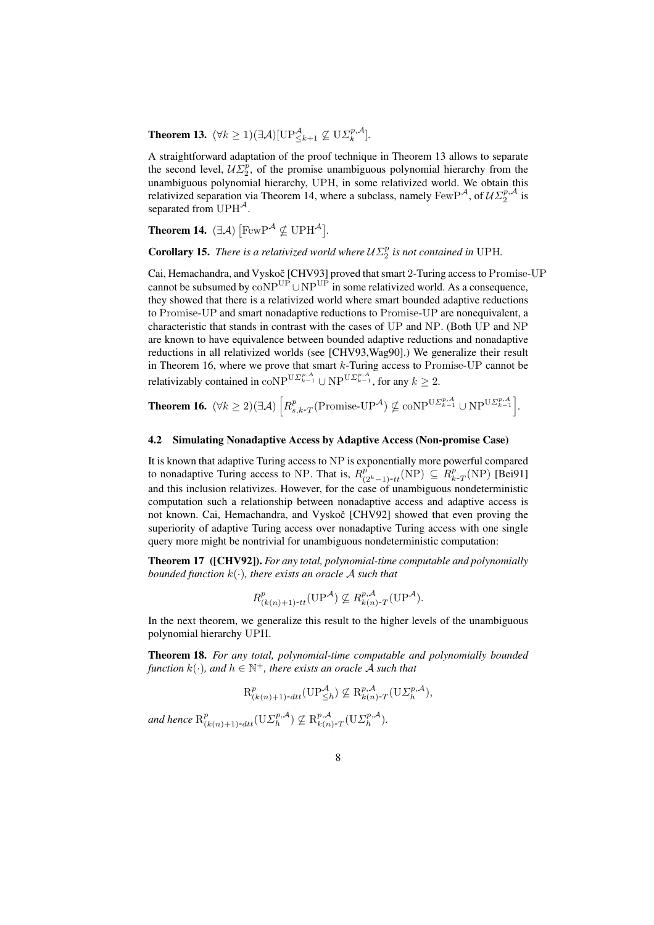**Theorem 13.**  $(\forall k \geq 1)(\exists \mathcal{A})[\text{UP}_{\leq k+1}^{\mathcal{A}} \not\subseteq \text{U}\Sigma_k^{p,\mathcal{A}}].$ 

A straightforward adaptation of the proof technique in Theorem 13 allows to separate the second level,  $\mathcal{U}\Sigma_2^p$ , of the promise unambiguous polynomial hierarchy from the unambiguous polynomial hierarchy, UPH, in some relativized world. We obtain this relativized separation via Theorem 14, where a subclass, namely  $FewP^{\mathcal{A}}$ , of  $\mathcal{UL}_2^{p,\mathcal{A}}$  is separated from  $UPH^{\mathcal{A}}$ .

Theorem 14.  $(\exists \mathcal{A})$  $\text{[FewP}^{\mathcal{A}} \nsubseteq \text{UPH}^{\mathcal{A}}$ *.*

**Corollary 15.** *There is a relativized world where*  $\mathcal{U}\Sigma_2^p$  *is not contained in* UPH.

Cai, Hemachandra, and Vyskoč [CHV93] proved that smart 2-Turing access to Promise-UP cannot be subsumed by  $\overline{coNP^{UP}} \cup NP^{UP}$  in some relativized world. As a consequence, they showed that there is a relativized world where smart bounded adaptive reductions to Promise-UP and smart nonadaptive reductions to Promise-UP are nonequivalent, a characteristic that stands in contrast with the cases of UP and NP. (Both UP and NP are known to have equivalence between bounded adaptive reductions and nonadaptive reductions in all relativized worlds (see [CHV93,Wag90].) We generalize their result in Theorem 16, where we prove that smart  $k$ -Turing access to Promise-UP cannot be relativizably contained in  $\text{coNP}^{\text{U}\Sigma^{p,A}_{k-1}} \cup \text{NP}^{\text{U}\Sigma^{p,A}_{k-1}}$ , for any  $k \geq 2$ .

Theorem 16.  $(\forall k \geq 2)(\exists \mathcal{A})$ h  $R_{s,k\text{-}T}^p(\text{Promise-UP}^{\mathcal{A}}) \nsubseteq \text{coNP}^{\text{U}\Sigma_{k-1}^{p,\mathcal{A}}} \cup \text{NP}^{\text{U}\Sigma_{k-1}^{p,\mathcal{A}}}$ i *.*

### 4.2 Simulating Nonadaptive Access by Adaptive Access (Non-promise Case)

It is known that adaptive Turing access to NP is exponentially more powerful compared to nonadaptive Turing access to NP. That is,  $R^{\hat{p}}_{(2^k-1)-tt}(\text{NP}) \subseteq R^p_{k-T}(\text{NP})$  [Bei91] and this inclusion relativizes. However, for the case of unambiguous nondeterministic computation such a relationship between nonadaptive access and adaptive access is not known. Cai, Hemachandra, and Vyskoč [CHV92] showed that even proving the superiority of adaptive Turing access over nonadaptive Turing access with one single query more might be nontrivial for unambiguous nondeterministic computation:

Theorem 17 ([CHV92]). *For any total, polynomial-time computable and polynomially bounded function* k(·)*, there exists an oracle* A *such that*

$$
R_{(k(n)+1)-tt}^p(\mathrm{UP}^{\mathcal{A}}) \nsubseteq R_{k(n)-T}^{p,\mathcal{A}}(\mathrm{UP}^{\mathcal{A}}).
$$

In the next theorem, we generalize this result to the higher levels of the unambiguous polynomial hierarchy UPH.

Theorem 18. *For any total, polynomial-time computable and polynomially bounded*  $f$ unction  $k(\cdot)$ , and  $h \in \mathbb{N}^+$ , there exists an oracle  $\mathcal A$  such that

$$
\mathcal{R}_{(k(n)+1)\text{-}dtt}^p(\mathbf{U}\mathbf{P}_{\leq h}^{\mathcal{A}}) \nsubseteq \mathcal{R}_{k(n)\text{-}T}^{p,\mathcal{A}}(\mathbf{U}\mathcal{Z}_h^{p,\mathcal{A}}),
$$

and hence  $R^p_{(k(n)+1)-dtt}(\mathrm{U}\Sigma^{p,\mathcal{A}}_h) \nsubseteq R^{p,\mathcal{A}}_{k(n)-T}(\mathrm{U}\Sigma^{p,\mathcal{A}}_h).$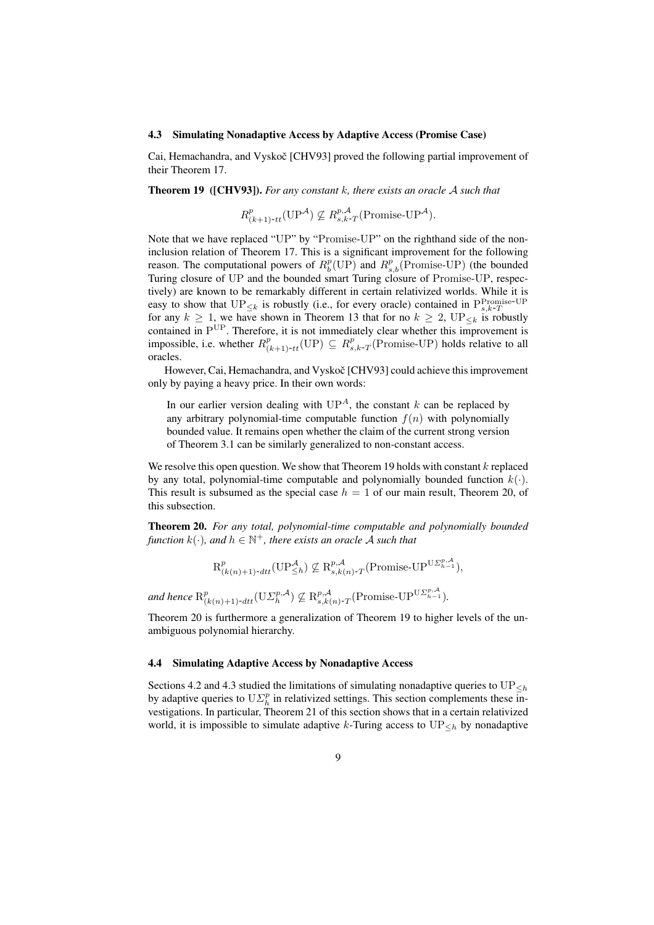#### 4.3 Simulating Nonadaptive Access by Adaptive Access (Promise Case)

Cai, Hemachandra, and Vyskoč [CHV93] proved the following partial improvement of their Theorem 17.

Theorem 19 ([CHV93]). *For any constant* k*, there exists an oracle* A *such that*

$$
R^{p}_{(k+1)-tt}(\text{UP}^{\mathcal{A}}) \nsubseteq R^{p,\mathcal{A}}_{s,k-T}(\text{Promise-UP}^{\mathcal{A}}).
$$

Note that we have replaced "UP" by "Promise-UP" on the righthand side of the noninclusion relation of Theorem 17. This is a significant improvement for the following reason. The computational powers of  $R_b^p(\text{UP})$  and  $R_{s,b}^p(\text{Promise-UP})$  (the bounded Turing closure of UP and the bounded smart Turing closure of Promise-UP, respectively) are known to be remarkably different in certain relativized worlds. While it is easy to show that  $\text{UP}_{\leq k}$  is robustly (i.e., for every oracle) contained in  $\text{P}_{s,k-T}^{\text{Promise-UP}}$ for any  $k \geq 1$ , we have shown in Theorem 13 that for no  $k \geq 2$ ,  $UP_{\leq k}$  is robustly contained in  $P^{UP}$ . Therefore, it is not immediately clear whether this improvement is impossible, i.e. whether  $R_{(k+1)-tt}^p(\text{UP}) \subseteq R_{s,k-T}^p(\text{Promise-UP})$  holds relative to all oracles.

However, Cai, Hemachandra, and Vyskoč [CHV93] could achieve this improvement only by paying a heavy price. In their own words:

In our earlier version dealing with  $UP<sup>A</sup>$ , the constant k can be replaced by any arbitrary polynomial-time computable function  $f(n)$  with polynomially bounded value. It remains open whether the claim of the current strong version of Theorem 3.1 can be similarly generalized to non-constant access.

We resolve this open question. We show that Theorem 19 holds with constant  $k$  replaced by any total, polynomial-time computable and polynomially bounded function  $k(\cdot)$ . This result is subsumed as the special case  $h = 1$  of our main result, Theorem 20, of this subsection.

Theorem 20. *For any total, polynomial-time computable and polynomially bounded function*  $k(\cdot)$ , and  $h \in \mathbb{N}^+$ , there exists an oracle A such that

$$
\mathcal{R}_{(k(n)+1)\text{-}dtt}^p(\mathbf{UP}^{\mathcal{A}}_{\leq h}) \nsubseteq \mathcal{R}_{s,k(n)\text{-}T}^{p,\mathcal{A}}(\text{Promise-}\mathbf{UP}^{\mathbf{U}\Sigma^{p,\mathcal{A}}_{h-1}}),
$$

and hence  $R^p_{(k(n)+1)$ -dtt<sup>(USp,A</sup>)  $\nsubseteq R^{p,\mathcal{A}}_{s,k(n)$ -T(Promise-UP<sup>US<sub>*h*-1</sup>)</sub>.</sup>

Theorem 20 is furthermore a generalization of Theorem 19 to higher levels of the unambiguous polynomial hierarchy.

#### 4.4 Simulating Adaptive Access by Nonadaptive Access

Sections 4.2 and 4.3 studied the limitations of simulating nonadaptive queries to  $\mathrm{UP}_{\leq h}$ by adaptive queries to  $U \Sigma_h^p$  in relativized settings. This section complements these investigations. In particular, Theorem 21 of this section shows that in a certain relativized world, it is impossible to simulate adaptive k-Turing access to  $UP_{\leq h}$  by nonadaptive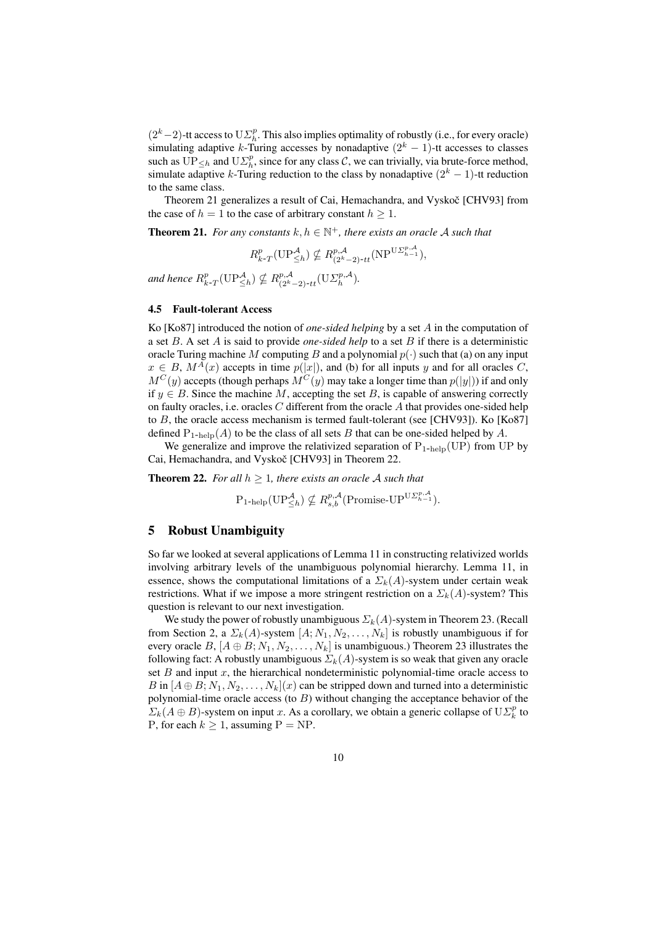$(2<sup>k</sup> - 2)$ -tt access to  $U\mathcal{Z}_{h}^{p}$ . This also implies optimality of robustly (i.e., for every oracle) simulating adaptive k-Turing accesses by nonadaptive  $(2<sup>k</sup> - 1)$ -tt accesses to classes such as  $\overline{UP}_{\leq h}$  and  $U\overline{\Sigma_h^p}$ , since for any class C, we can trivially, via brute-force method, simulate adaptive k-Turing reduction to the class by nonadaptive  $(2<sup>k</sup> - 1)$ -tt reduction to the same class.

Theorem 21 generalizes a result of Cai, Hemachandra, and Vyskoč [CHV93] from the case of  $h = 1$  to the case of arbitrary constant  $h \geq 1$ .

**Theorem 21.** For any constants  $k, h \in \mathbb{N}^+$ , there exists an oracle A such that

 $R_{k}^p(T(\text{UP}_{\leq h}^{\mathcal{A}}) \nsubseteq R_{(2^k-2)-tt}^{p,\mathcal{A}}(\text{NP}^{\text{U}\Sigma_{h-1}^{p,\mathcal{A}}}),$ 

and hence  $R_{k-T}^p(\text{UP}_{\leq h}^{\mathcal{A}}) \nsubseteq R_{(2^k-2)-tt}^{p,\mathcal{A}}(\text{U}\Sigma_h^{p,\mathcal{A}})$ .

### 4.5 Fault-tolerant Access

Ko [Ko87] introduced the notion of *one-sided helping* by a set A in the computation of a set B. A set A is said to provide *one-sided help* to a set B if there is a deterministic oracle Turing machine M computing B and a polynomial  $p(\cdot)$  such that (a) on any input  $x \in B$ ,  $M^{A}(x)$  accepts in time  $p(|x|)$ , and (b) for all inputs y and for all oracles C,  $M^C(y)$  accepts (though perhaps  $M^C(y)$  may take a longer time than  $p(|y|)$ ) if and only if  $y \in B$ . Since the machine M, accepting the set B, is capable of answering correctly on faulty oracles, i.e. oracles  $C$  different from the oracle  $A$  that provides one-sided help to  $B$ , the oracle access mechanism is termed fault-tolerant (see [CHV93]). Ko [Ko87] defined  $P_{1-help}(A)$  to be the class of all sets B that can be one-sided helped by A.

We generalize and improve the relativized separation of  $P_{1-\text{help}}(UP)$  from UP by Cai, Hemachandra, and Vyskoč [CHV93] in Theorem 22.

**Theorem 22.** For all  $h \geq 1$ , there exists an oracle A such that

 $P_{1\text{-help}}(\text{UP}_{\leq h}^{\mathcal{A}}) \nsubseteq R_{s,b}^{p,\mathcal{A}}(\text{Promise-UP}^{\text{U}\Sigma_{h-1}^{p,\mathcal{A}}}).$ 

### 5 Robust Unambiguity

So far we looked at several applications of Lemma 11 in constructing relativized worlds involving arbitrary levels of the unambiguous polynomial hierarchy. Lemma 11, in essence, shows the computational limitations of a  $\Sigma_k(A)$ -system under certain weak restrictions. What if we impose a more stringent restriction on a  $\Sigma_k(A)$ -system? This question is relevant to our next investigation.

We study the power of robustly unambiguous  $\Sigma_k(A)$ -system in Theorem 23. (Recall from Section 2, a  $\Sigma_k(A)$ -system  $[A; N_1, N_2, \ldots, N_k]$  is robustly unambiguous if for every oracle B,  $[A \oplus B; N_1, N_2, \ldots, N_k]$  is unambiguous.) Theorem 23 illustrates the following fact: A robustly unambiguous  $\Sigma_k(A)$ -system is so weak that given any oracle set  $B$  and input  $x$ , the hierarchical nondeterministic polynomial-time oracle access to B in  $[A \oplus B; N_1, N_2, \ldots, N_k](x)$  can be stripped down and turned into a deterministic polynomial-time oracle access (to  $B$ ) without changing the acceptance behavior of the  $\Sigma_k(A \oplus B)$ -system on input x. As a corollary, we obtain a generic collapse of  $U\Sigma_k^p$  to P, for each  $k \ge 1$ , assuming  $P = NP$ .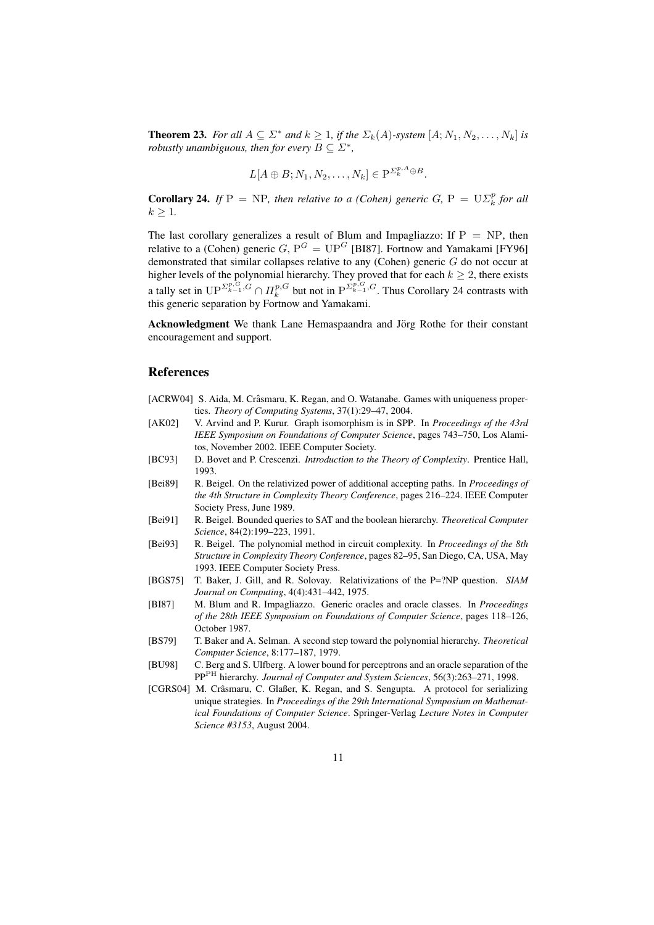**Theorem 23.** For all  $A \subseteq \Sigma^*$  and  $k \geq 1$ , if the  $\Sigma_k(A)$ -system  $[A; N_1, N_2, \ldots, N_k]$  is *robustly unambiguous, then for every*  $B \subseteq \Sigma^*$ ,

$$
L[A \oplus B; N_1, N_2, \dots, N_k] \in P^{\Sigma_k^{p,A} \oplus B}.
$$

**Corollary 24.** *If*  $P = NP$ *, then relative to a (Cohen) generic G,*  $P = U \Sigma_k^p$  *for all*  $k > 1$ .

The last corollary generalizes a result of Blum and Impagliazzo: If  $P = NP$ , then relative to a (Cohen) generic  $G, P^G = UP^G$  [BI87]. Fortnow and Yamakami [FY96] demonstrated that similar collapses relative to any (Cohen) generic G do not occur at higher levels of the polynomial hierarchy. They proved that for each  $k \geq 2$ , there exists a tally set in  $\mathbf{UP}^{\Sigma_{k-1}^{p,G}} \cap \Pi_k^{p,G}$  but not in  $\mathbf{P}^{\Sigma_{k-1}^{p,G},G}$ . Thus Corollary 24 contrasts with this generic separation by Fortnow and Yamakami.

Acknowledgment We thank Lane Hemaspaandra and Jörg Rothe for their constant encouragement and support.

### References

- [ACRW04] S. Aida, M. Crâsmaru, K. Regan, and O. Watanabe. Games with uniqueness properties. *Theory of Computing Systems*, 37(1):29–47, 2004.
- [AK02] V. Arvind and P. Kurur. Graph isomorphism is in SPP. In *Proceedings of the 43rd IEEE Symposium on Foundations of Computer Science*, pages 743–750, Los Alamitos, November 2002. IEEE Computer Society.
- [BC93] D. Bovet and P. Crescenzi. *Introduction to the Theory of Complexity*. Prentice Hall, 1993.
- [Bei89] R. Beigel. On the relativized power of additional accepting paths. In *Proceedings of the 4th Structure in Complexity Theory Conference*, pages 216–224. IEEE Computer Society Press, June 1989.
- [Bei91] R. Beigel. Bounded queries to SAT and the boolean hierarchy. *Theoretical Computer Science*, 84(2):199–223, 1991.
- [Bei93] R. Beigel. The polynomial method in circuit complexity. In *Proceedings of the 8th Structure in Complexity Theory Conference*, pages 82–95, San Diego, CA, USA, May 1993. IEEE Computer Society Press.
- [BGS75] T. Baker, J. Gill, and R. Solovay. Relativizations of the P=?NP question. *SIAM Journal on Computing*, 4(4):431–442, 1975.
- [BI87] M. Blum and R. Impagliazzo. Generic oracles and oracle classes. In *Proceedings of the 28th IEEE Symposium on Foundations of Computer Science*, pages 118–126, October 1987.
- [BS79] T. Baker and A. Selman. A second step toward the polynomial hierarchy. *Theoretical Computer Science*, 8:177–187, 1979.
- [BU98] C. Berg and S. Ulfberg. A lower bound for perceptrons and an oracle separation of the PPPH hierarchy. *Journal of Computer and System Sciences*, 56(3):263–271, 1998.
- [CGRS04] M. Crâsmaru, C. Glaßer, K. Regan, and S. Sengupta. A protocol for serializing unique strategies. In *Proceedings of the 29th International Symposium on Mathematical Foundations of Computer Science*. Springer-Verlag *Lecture Notes in Computer Science #3153*, August 2004.